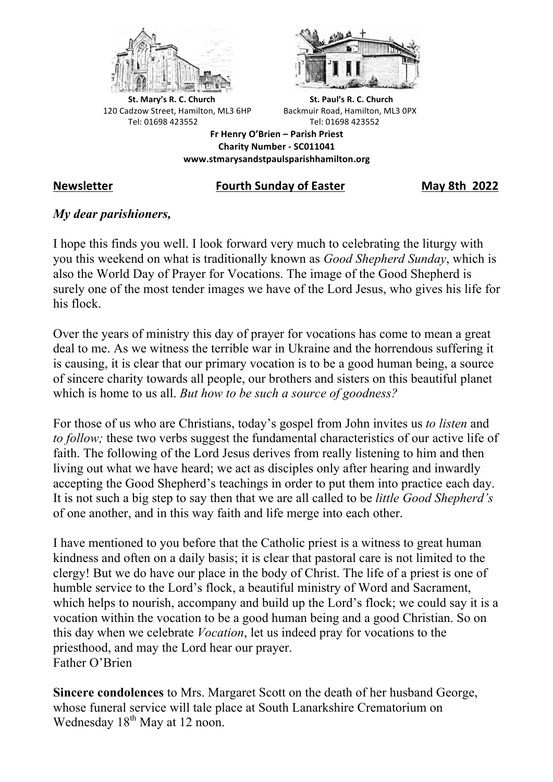



**St.** Mary's R. C. Church St. Paul's R. C. Church 120 Cadzow Street, Hamilton, ML3 6HP Backmuir Road, Hamilton, ML3 0PX Tel: 01698 423552 Tel: 01698 423552

**Fr Henry O'Brien – Parish Priest Charity Number - SC011041 www.stmarysandstpaulsparishhamilton.org**

## **Newsletter Fourth Sunday of Easter May 8th 2022**

# *My dear parishioners,*

I hope this finds you well. I look forward very much to celebrating the liturgy with you this weekend on what is traditionally known as *Good Shepherd Sunday*, which is also the World Day of Prayer for Vocations. The image of the Good Shepherd is surely one of the most tender images we have of the Lord Jesus, who gives his life for his flock.

Over the years of ministry this day of prayer for vocations has come to mean a great deal to me. As we witness the terrible war in Ukraine and the horrendous suffering it is causing, it is clear that our primary vocation is to be a good human being, a source of sincere charity towards all people, our brothers and sisters on this beautiful planet which is home to us all. *But how to be such a source of goodness?*

For those of us who are Christians, today's gospel from John invites us *to listen* and *to follow;* these two verbs suggest the fundamental characteristics of our active life of faith. The following of the Lord Jesus derives from really listening to him and then living out what we have heard; we act as disciples only after hearing and inwardly accepting the Good Shepherd's teachings in order to put them into practice each day. It is not such a big step to say then that we are all called to be *little Good Shepherd's* of one another, and in this way faith and life merge into each other.

I have mentioned to you before that the Catholic priest is a witness to great human kindness and often on a daily basis; it is clear that pastoral care is not limited to the clergy! But we do have our place in the body of Christ. The life of a priest is one of humble service to the Lord's flock, a beautiful ministry of Word and Sacrament, which helps to nourish, accompany and build up the Lord's flock; we could say it is a vocation within the vocation to be a good human being and a good Christian. So on this day when we celebrate *Vocation*, let us indeed pray for vocations to the priesthood, and may the Lord hear our prayer. Father O'Brien

**Sincere condolences** to Mrs. Margaret Scott on the death of her husband George, whose funeral service will tale place at South Lanarkshire Crematorium on Wednesday 18<sup>th</sup> May at 12 noon.